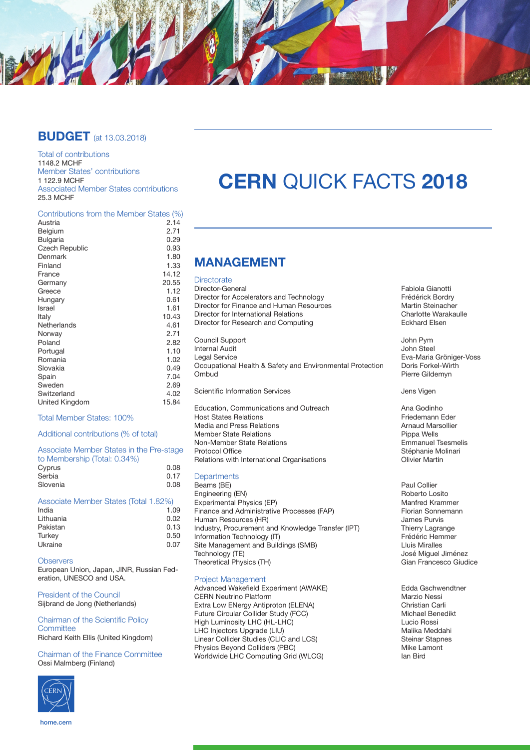

## **BUDGET** (at 13.03.2018)

Total of contributions 1148.2 MCHF Member States' contributions 1 122.9 MCHF Associated Member States contributions 25.3 MCHF

### Contributions from the Member States (%)

| Austria         | 2.14  |
|-----------------|-------|
| Belgium         | 2.71  |
| <b>Bulgaria</b> | 0.29  |
| Czech Republic  | 0.93  |
| Denmark         | 1.80  |
| Finland         | 1.33  |
| France          | 14.12 |
| Germany         | 20.55 |
| Greece          | 1.12  |
| Hungary         | 0.61  |
| Israel          | 1.61  |
| Italy           | 10.43 |
| Netherlands     | 4.61  |
| Norway          | 2.71  |
| Poland          | 2.82  |
| Portugal        | 1.10  |
| Romania         | 1.02  |
| Slovakia        | 0.49  |
| Spain           | 7.04  |
| Sweden          | 2.69  |
| Switzerland     | 4.02  |
| United Kingdom  | 15.84 |
|                 |       |

### Total Member States: 100%

### Additional contributions (% of total)

| Associate Member States in the Pre-stage |      |
|------------------------------------------|------|
| to Membership (Total: 0.34%)             |      |
| Cyprus                                   | 0.08 |
| Serbia                                   | 0.17 |
| Slovenia                                 | 0.08 |

### Associate Member States (Total 1.82%)

**Observers** 

European Union, Japan, JINR, Russian Federation, UNESCO and USA.

President of the Council Sijbrand de Jong (Netherlands)

#### Chairman of the Scientific Policy **Committee** Richard Keith Ellis (United Kingdom)

Chairman of the Finance Committee Ossi Malmberg (Finland)



# **CERN** QUICK FACTS **2018**

# **MANAGEMENT**

**Directorate** 

Director for Accelerators and Technology Frédérick Bordry<br>
Director for Finance and Human Resources<br>
Martin Steinacher Director for Finance and Human Resources<br>
Director for International Relations<br>
Charlotte Warakaulle Director for International Relations<br>
Director for Research and Computing<br>
Charlotte Warakaulle Research and Computing<br>
Charlotte Benedict Research and Computing Director for Research and Computing Council Support John Pym **Internal Audit**<br>Legal Service Occupational Health & Safety and Environmental Protection<br>Ombud Scientific Information Services **Access** Jens Vigen Education, Communications and Outreach **Ana Godinho**<br>Host States Relations **Analysis Constant Analysis Constant Analysis Constant Analysis Constant Analysis Constant** Host States
 Relations Friedemann Eder

Media and Press Relations and Arnaud Marsolliers and Arnaud Marsolliers Arnaud Marsolliers Arnaud Marsolliers<br>Arnaud Marsolliers Arnaud Marsolliers Arnaud Marsolliers Arnaud Marsolliers Arnaud Marsolliers Arnaud Marsolli Member State Relations<br>
Non-Member State Relations<br>
Pippa Wells<br>
Emmanuel Tsesmelis Non-Member State Relations<br>Protocol Office Relations with International Organisations

#### **Departments**

Beams (BE) Paul Collier Engineering (EN) Roberto Losito Experimental Physics (EP) [2013] Experimental Physics (EP) [2014] Manfred Krammer<br>
Finance and Administrative Processes (FAP) [2013] Florian Sonnemann Finance and Administrative Processes (FAP) Florian Sonne<br>Human Resources (HR) Florian Sonnes Purvis Human Resources (HR)<br>
Industry, Procurement and Knowledge Transfer (IPT) Thierry Lagrange Industry, Procurement and Knowledge Transfer (IPT) Thierry Lagrange<br>Information Technology (IT) Frédéric Hemmer Information Technology (IT)<br>
Site Management and Buildings (SMB)<br>
I Luis Miralles Site Management and Buildings (SMB)<br>Technology (TE) Theoretical Physics (TH)

#### Project Management

Advanced Wakefield Experiment (AWAKE) Edda Gschwendtner<br>CERN Neutrino Platform Marzio Nessi CERN Neutrino Platform<br>
Extra Low ENergy Antiproton (ELENA) 
Subsetting Contraction Christian Carli Extra Low ENergy Antiproton (ELENA) Christian Carli Future Circular Collider Study (FCC) Michael Benedikt High Luminosity LHC (HL-LHC) Lucio Rossi LHC Injectors Upgrade (LIU)<br>
Linear Collider Studies (CLIC and LCS) Steinar Staphes Linear Collider Studies (CLIC and LCS) Steinar Stapness Steinar Stapness Steinar Stapness Steinar Stapness Steinar Stapness Steinar Stapness Steinar Stapness Steinar Stapness Steinar Stapness Steinar Stapness Steinar Stapn Physics Beyond Colliders (PBC) and the Unit of the Unit of the Unit of the Unit of the Unit of the Unit of the U<br>Morldwide LHC Computing Grid (WLCG) and Bird Worldwide LHC Computing Grid (WLCG)

Director-General **Fabiola Gianotti**<br>
Director for Accelerators and Technology **Frequence Control** Frédérick Bordry

Eva-Maria Gröniger-Voss<br>Doris Forkel-Wirth Pierre Gildemyn

Stéphanie Molinari<br>Olivier Martin

- José Miguel Jiménez<br>Gian Francesco Giudice
- 

home.cern